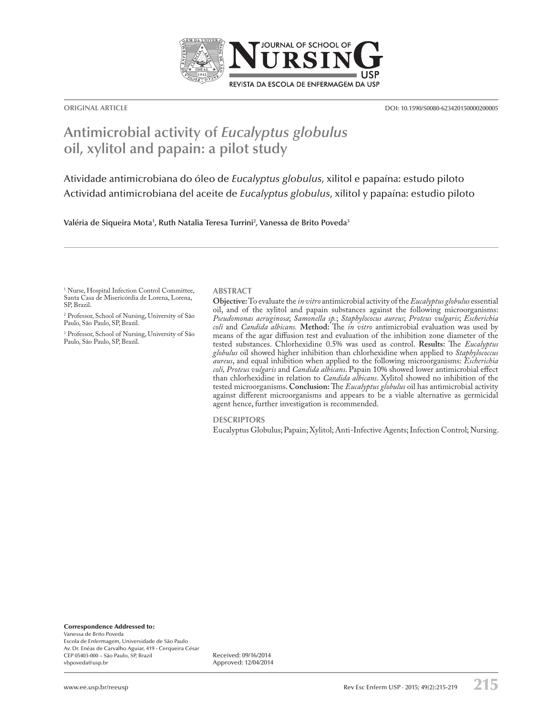

**ORIGINAL ARTICLE** DOI: 10.1590/S0080-623420150000200005

# **Antimicrobial activity of** *Eucalyptus globulus*  **oil, xylitol and papain: a pilot study**

Atividade antimicrobiana do óleo de *Eucalyptus globulus*, xilitol e papaína: estudo piloto Actividad antimicrobiana del aceite de *Eucalyptus globulus*, xilitol y papaína: estudio piloto

**Valéria de Siqueira Mota1 , Ruth Natalia Teresa Turrini2 , Vanessa de Brito Poveda3**

1 Nurse, Hospital Infection Control Committee, Santa Casa de Misericórdia de Lorena, Lorena, SP, Brazil.

2 Professor, School of Nursing, University of São Paulo, São Paulo, SP, Brazil.

3 Professor, School of Nursing, University of São Paulo, São Paulo, SP, Brazil.

#### **ABSTRACT**

**Objective:** To evaluate the *in vitro* antimicrobial activity of the *Eucalyptus globulus* essential oil, and of the xylitol and papain substances against the following microorganisms: *Pseudomonas aeruginosa*; *Samonella sp.*; *Staphylococus aureus*; *Proteus vulgaris*; *Escherichia coli* and *Candida albicans.* **Method:** The *in vitro* antimicrobial evaluation was used by means of the agar diffusion test and evaluation of the inhibition zone diameter of the tested substances. Chlorhexidine 0.5% was used as control. **Results:** The *Eucalyptus globulus* oil showed higher inhibition than chlorhexidine when applied to *Staphylococcus aureus*, and equal inhibition when applied to the following microorganisms: *Escherichia coli, Proteus vulgaris* and *Candida albicans*. Papain 10% showed lower antimicrobial effect than chlorhexidine in relation to *Candida albicans*. Xylitol showed no inhibition of the tested microorganisms. **Conclusion:** The *Eucalyptus globulus* oil has antimicrobial activity against different microorganisms and appears to be a viable alternative as germicidal agent hence, further investigation is recommended.

**DESCRIPTORS**

Eucalyptus Globulus; Papain; Xylitol; Anti-Infective Agents; Infection Control; Nursing.

Correspondence Addressed to:

Vanessa de Brito Poveda Escola de Enfermagem, Universidade de São Paulo Av. Dr. Enéas de Carvalho Aguiar, 419 - Cerqueira César CEP 05403-000 – São Paulo, SP, Brazil vbpoveda@usp.br

Received: 09/16/2014 Approved: 12/04/2014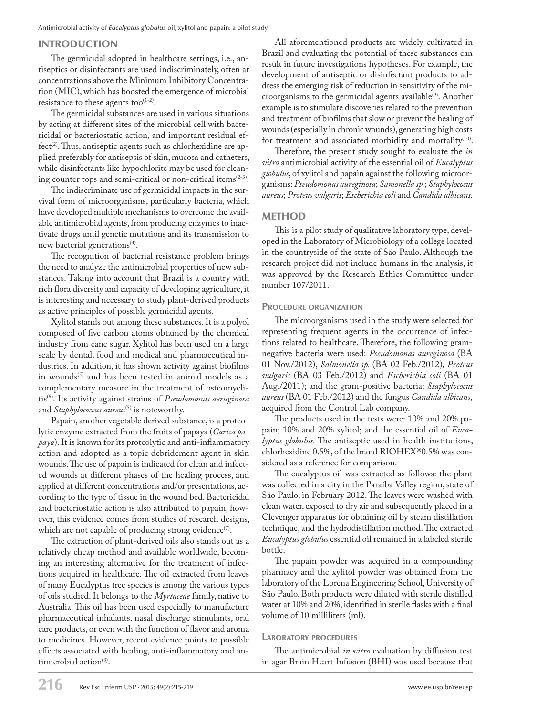## INTRODUCTION

The germicidal adopted in healthcare settings, i.e., antiseptics or disinfectants are used indiscriminately, often at concentrations above the Minimum Inhibitory Concentration (MIC), which has boosted the emergence of microbial resistance to these agents too $(1-2)$ .

The germicidal substances are used in various situations by acting at different sites of the microbial cell with bactericidal or bacteriostatic action, and important residual effect<sup>(2)</sup>. Thus, antiseptic agents such as chlorhexidine are applied preferably for antisepsis of skin, mucosa and catheters, while disinfectants like hypochlorite may be used for cleaning counter tops and semi-critical or non-critical items(2-3).

The indiscriminate use of germicidal impacts in the survival form of microorganisms, particularly bacteria, which have developed multiple mechanisms to overcome the available antimicrobial agents, from producing enzymes to inactivate drugs until genetic mutations and its transmission to new bacterial generations<sup>(4)</sup>.

The recognition of bacterial resistance problem brings the need to analyze the antimicrobial properties of new substances. Taking into account that Brazil is a country with rich flora diversity and capacity of developing agriculture, it is interesting and necessary to study plant-derived products as active principles of possible germicidal agents.

Xylitol stands out among these substances. It is a polyol composed of five carbon atoms obtained by the chemical industry from cane sugar. Xylitol has been used on a large scale by dental, food and medical and pharmaceutical industries. In addition, it has shown activity against biofilms in wounds<sup>(5)</sup> and has been tested in animal models as a complementary measure in the treatment of osteomyelitis(6). Its activity against strains of *Pseudomonas aeruginosa*  and *Staphylococcus aureus*<sup>(5)</sup> is noteworthy.

Papain, another vegetable derived substance, is a proteolytic enzyme extracted from the fruits of papaya (*Carica papaya*). It is known for its proteolytic and anti-inflammatory action and adopted as a topic debridement agent in skin wounds. The use of papain is indicated for clean and infected wounds at different phases of the healing process, and applied at different concentrations and/or presentations, according to the type of tissue in the wound bed. Bactericidal and bacteriostatic action is also attributed to papain, however, this evidence comes from studies of research designs, which are not capable of producing strong evidence<sup>(7)</sup>.

The extraction of plant-derived oils also stands out as a relatively cheap method and available worldwide, becoming an interesting alternative for the treatment of infections acquired in healthcare. The oil extracted from leaves of many Eucalyptus tree species is among the various types of oils studied. It belongs to the *Myrtaceae* family, native to Australia. This oil has been used especially to manufacture pharmaceutical inhalants, nasal discharge stimulants, oral care products, or even with the function of flavor and aroma to medicines. However, recent evidence points to possible effects associated with healing, anti-inflammatory and antimicrobial action<sup>(8)</sup>.

All aforementioned products are widely cultivated in Brazil and evaluating the potential of these substances can result in future investigations hypotheses. For example, the development of antiseptic or disinfectant products to address the emerging risk of reduction in sensitivity of the microorganisms to the germicidal agents available<sup>(9)</sup>. Another example is to stimulate discoveries related to the prevention and treatment of biofilms that slow or prevent the healing of wounds (especially in chronic wounds), generating high costs for treatment and associated morbidity and mortality<sup>(10)</sup>.

Therefore, the present study sought to evaluate the *in vitro* antimicrobial activity of the essential oil of *Eucalyptus globulus*, of xylitol and papain against the following microorganisms: *Pseudomonas aureginosa*; *Samonella sp.*; *Staphylococus aureus*; *Proteus vulgaris*; *Escherichia coli* and *Candida albicans.*

# METHOD

This is a pilot study of qualitative laboratory type, developed in the Laboratory of Microbiology of a college located in the countryside of the state of São Paulo. Although the research project did not include humans in the analysis, it was approved by the Research Ethics Committee under number 107/2011.

## PROCEDURE ORGANIZATION

The microorganisms used in the study were selected for representing frequent agents in the occurrence of infections related to healthcare. Therefore, the following gramnegative bacteria were used: *Pseudomonas aureginosa* (BA 01 Nov./2012), *Salmonella sp.* (BA 02 Feb./2012)*, Proteus vulgaris* (BA 03 Feb./2012) and *Escherichia coli* (BA 01 Aug./2011); and the gram-positive bacteria: *Staphylococus aureus* (BA 01 Feb./2012) and the fungus *Candida albicans*, acquired from the Control Lab company.

The products used in the tests were: 10% and 20% papain; 10% and 20% xylitol; and the essential oil of *Eucalyptus globulus.* The antiseptic used in health institutions, chlorhexidine 0.5%, of the brand RIOHEX®0.5% was considered as a reference for comparison.

The eucalyptus oil was extracted as follows: the plant was collected in a city in the Paraíba Valley region, state of São Paulo, in February 2012. The leaves were washed with clean water, exposed to dry air and subsequently placed in a Clevenger apparatus for obtaining oil by steam distillation technique, and the hydrodistillation method. The extracted *Eucalyptus globulus* essential oil remained in a labeled sterile bottle.

The papain powder was acquired in a compounding pharmacy and the xylitol powder was obtained from the laboratory of the Lorena Engineering School, University of São Paulo. Both products were diluted with sterile distilled water at 10% and 20%, identified in sterile flasks with a final volume of 10 milliliters (ml).

## LABORATORY PROCEDURES

The antimicrobial *in vitro* evaluation by diffusion test in agar Brain Heart Infusion (BHI) was used because that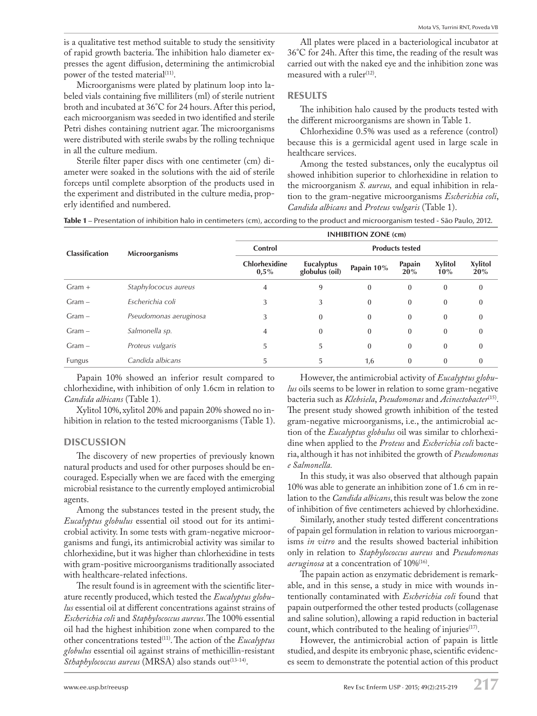is a qualitative test method suitable to study the sensitivity of rapid growth bacteria. The inhibition halo diameter expresses the agent diffusion, determining the antimicrobial power of the tested material<sup>(11)</sup>.

Microorganisms were plated by platinum loop into labeled vials containing five milliliters (ml) of sterile nutrient broth and incubated at 36°C for 24 hours. After this period, each microorganism was seeded in two identified and sterile Petri dishes containing nutrient agar. The microorganisms were distributed with sterile swabs by the rolling technique in all the culture medium.

Sterile filter paper discs with one centimeter (cm) diameter were soaked in the solutions with the aid of sterile forceps until complete absorption of the products used in the experiment and distributed in the culture media, properly identified and numbered.

All plates were placed in a bacteriological incubator at 36°C for 24h. After this time, the reading of the result was carried out with the naked eye and the inhibition zone was measured with a ruler $(12)$ .

#### RESULTS

The inhibition halo caused by the products tested with the different microorganisms are shown in Table 1.

Chlorhexidine 0.5% was used as a reference (control) because this is a germicidal agent used in large scale in healthcare services.

Among the tested substances, only the eucalyptus oil showed inhibition superior to chlorhexidine in relation to the microorganism *S. aureus,* and equal inhibition in relation to the gram-negative microorganisms *Escherichia coli*, *Candida albicans* and *Proteus vulgaris* (Table 1).

Table 1 – Presentation of inhibition halo in centimeters (cm), according to the product and microorganism tested - São Paulo, 2012.

| <b>Classification</b> | Microorganisms         | <b>INHIBITION ZONE (cm)</b>     |                              |              |               |                       |                       |
|-----------------------|------------------------|---------------------------------|------------------------------|--------------|---------------|-----------------------|-----------------------|
|                       |                        | Control                         | <b>Products tested</b>       |              |               |                       |                       |
|                       |                        | <b>Chlorhexidine</b><br>$0.5\%$ | Eucalyptus<br>globulus (oil) | Papain 10%   | Papain<br>20% | <b>Xylitol</b><br>10% | <b>Xylitol</b><br>20% |
| $Gram +$              | Staphylococus aureus   | 4                               | 9                            | $\mathbf{0}$ | $\bf{0}$      | $\bf{0}$              | $\mathbf{0}$          |
| $Gram -$              | Escherichia coli       | 3                               | 3                            | $\mathbf{0}$ | $\mathbf{0}$  | $\bf{0}$              | $\bf{0}$              |
| $Gram -$              | Pseudomonas aeruginosa | 3                               | $\mathbf{0}$                 | $\mathbf{0}$ | $\mathbf{0}$  | $\bf{0}$              | $\bf{0}$              |
| $Gram -$              | Salmonella sp.         | $\overline{4}$                  | $\mathbf{0}$                 | $\mathbf{0}$ | $\mathbf{0}$  | $\mathbf{0}$          | $\bf{0}$              |
| $Gram -$              | Proteus vulgaris       | 5                               | 5                            | $\mathbf{0}$ | $\mathbf{0}$  | $\mathbf{0}$          | $\bf{0}$              |
| Fungus                | Candida albicans       | 5                               | 5                            | 1,6          | $\mathbf{0}$  | $\bf{0}$              | $\bf{0}$              |

Papain 10% showed an inferior result compared to chlorhexidine, with inhibition of only 1.6cm in relation to *Candida albicans* (Table 1).

Xylitol 10%, xylitol 20% and papain 20% showed no inhibition in relation to the tested microorganisms (Table 1).

### DISCUSSION

The discovery of new properties of previously known natural products and used for other purposes should be encouraged. Especially when we are faced with the emerging microbial resistance to the currently employed antimicrobial agents.

Among the substances tested in the present study, the *Eucalyptus globulus* essential oil stood out for its antimicrobial activity. In some tests with gram-negative microorganisms and fungi, its antimicrobial activity was similar to chlorhexidine, but it was higher than chlorhexidine in tests with gram-positive microorganisms traditionally associated with healthcare-related infections.

The result found is in agreement with the scientific literature recently produced, which tested the *Eucalyptus globulus* essential oil at different concentrations against strains of *Escherichia coli* and *Staphylococcus aureus*. The 100% essential oil had the highest inhibition zone when compared to the other concentrations tested(11). The action of the *Eucalyptus globulus* essential oil against strains of methicillin-resistant Sthaphylococcus aureus (MRSA) also stands out<sup>(13-14)</sup>.

However, the antimicrobial activity of *Eucalyptus globulus* oils seems to be lower in relation to some gram-negative bacteria such as *Klebsiela*, *Pseudomonas* and *Acinectobacter*(15). The present study showed growth inhibition of the tested gram-negative microorganisms, i.e., the antimicrobial action of the *Eucalyptus globulus* oil was similar to chlorhexidine when applied to the *Proteus* and *Escherichia coli* bacteria, although it has not inhibited the growth of *Pseudomonas e Salmonella.*

In this study, it was also observed that although papain 10% was able to generate an inhibition zone of 1.6 cm in relation to the *Candida albicans*, this result was below the zone of inhibition of five centimeters achieved by chlorhexidine.

Similarly, another study tested different concentrations of papain gel formulation in relation to various microorganisms *in vitro* and the results showed bacterial inhibition only in relation to *Staphylococcus aureus* and *Pseudomonas aeruginosa* at a concentration of 10%(16).

The papain action as enzymatic debridement is remarkable, and in this sense, a study in mice with wounds intentionally contaminated with *Escherichia coli* found that papain outperformed the other tested products (collagenase and saline solution), allowing a rapid reduction in bacterial count, which contributed to the healing of injuries<sup>(17)</sup>.

However, the antimicrobial action of papain is little studied, and despite its embryonic phase, scientific evidences seem to demonstrate the potential action of this product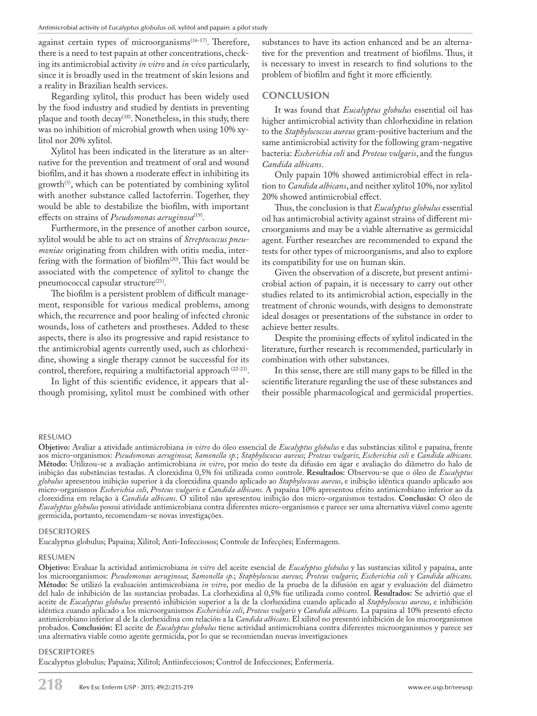against certain types of microorganisms $(16-17)$ . Therefore, there is a need to test papain at other concentrations, checking its antimicrobial activity *in vitro* and *in vivo* particularly, since it is broadly used in the treatment of skin lesions and a reality in Brazilian health services.

Regarding xylitol, this product has been widely used by the food industry and studied by dentists in preventing plaque and tooth decay<sup>(18)</sup>. Nonetheless, in this study, there was no inhibition of microbial growth when using 10% xylitol nor 20% xylitol.

Xylitol has been indicated in the literature as an alternative for the prevention and treatment of oral and wound biofilm, and it has shown a moderate effect in inhibiting its growth<sup> $(5)$ </sup>, which can be potentiated by combining xylitol with another substance called lactoferrin. Together, they would be able to destabilize the biofilm, with important effects on strains of *Pseudomonas aeruginosa*<sup>(19)</sup>.

Furthermore, in the presence of another carbon source, xylitol would be able to act on strains of *Streptococcus pneumoniae* originating from children with otitis media, interfering with the formation of biofilm(20). This fact would be associated with the competence of xylitol to change the pneumococcal capsular structure<sup>(21)</sup>.

The biofilm is a persistent problem of difficult management, responsible for various medical problems, among which, the recurrence and poor healing of infected chronic wounds, loss of catheters and prostheses. Added to these aspects, there is also its progressive and rapid resistance to the antimicrobial agents currently used, such as chlorhexidine, showing a single therapy cannot be successful for its control, therefore, requiring a multifactorial approach (22-23).

In light of this scientific evidence, it appears that although promising, xylitol must be combined with other

substances to have its action enhanced and be an alternative for the prevention and treatment of biofilms. Thus, it is necessary to invest in research to find solutions to the problem of biofilm and fight it more efficiently.

## **CONCLUSION**

It was found that *Eucalyptus globulus* essential oil has higher antimicrobial activity than chlorhexidine in relation to the *Staphylococcus aureus* gram-positive bacterium and the same antimicrobial activity for the following gram-negative bacteria: *Escherichia coli* and *Proteus vulgaris*, and the fungus *Candida albicans*.

Only papain 10% showed antimicrobial effect in relation to *Candida albicans*, and neither xylitol 10%, nor xylitol 20% showed antimicrobial effect.

Thus, the conclusion is that *Eucalyptus globulus* essential oil has antimicrobial activity against strains of different microorganisms and may be a viable alternative as germicidal agent. Further researches are recommended to expand the tests for other types of microorganisms, and also to explore its compatibility for use on human skin.

Given the observation of a discrete, but present antimicrobial action of papain, it is necessary to carry out other studies related to its antimicrobial action, especially in the treatment of chronic wounds, with designs to demonstrate ideal dosages or presentations of the substance in order to achieve better results.

Despite the promising effects of xylitol indicated in the literature, further research is recommended, particularly in combination with other substances.

In this sense, there are still many gaps to be filled in the scientific literature regarding the use of these substances and their possible pharmacological and germicidal properties.

#### **RESUMO**

**Objetivo:** Avaliar a atividade antimicrobiana *in vitro* do óleo essencial de *Eucalyptus globulus* e das substâncias xilitol e papaína, frente aos micro-organismos: *Pseudomonas aeruginosa*; *Samonella sp.*; *Staphylococus aureus*; *Proteus vulgaris*; *Escherichia coli* e *Candida albicans.* **Método:** Utilizou-se a avaliação antimicrobiana *in vitro*, por meio do teste da difusão em ágar e avaliação do diâmetro do halo de inibição das substâncias testadas. A clorexidina 0,5% foi utilizada como controle. **Resultados:** Observou-se que o óleo de *Eucalyptus globulus* apresentou inibição superior à da clorexidina quando aplicado ao *Staphylococus aureus*, e inibição idêntica quando aplicado aos micro-organismos *Escherichia coli*, *Proteus vulgaris* e *Candida albicans.* A papaína 10% apresentou efeito antimicrobiano inferior ao da clorexidina em relação à *Candida albicans*. O xilitol não apresentou inibição dos micro-organismos testados. **Conclusão:** O óleo de *Eucalyptus globulus* possui atividade antimicrobiana contra diferentes micro-organismos e parece ser uma alternativa viável como agente germicida, portanto, recomendam-se novas investigações.

#### **DESCRITORES**

Eucalyptus globulus; Papaína; Xilitol; Anti-Infecciosos; Controle de Infecções; Enfermagem.

#### **RESUMEN**

**Objetivo:** Evaluar la actividad antimicrobiana *in vitro* del aceite esencial de *Eucalyptus globulus* y las sustancias xilitol y papaína, ante los microorganismos: *Pseudomonas aeruginosa*; *Samonella sp.*; *Staphylococus aureus*; *Proteus vulgaris*; *Escherichia coli* y *Candida albicans.* **Método:** Se utilizó la evaluación antimicrobiana *in vitro*, por medio de la prueba de la difusión en agar y evaluación del diámetro del halo de inhibición de las sustancias probadas. La clorhexidina al 0,5% fue utilizada como control. **Resultados:** Se advirtió que el aceite de *Eucalyptus globulus* presentó inhibición superior a la de la clorhexidina cuando aplicado al *Staphylococus aureus*, e inhibición idéntica cuando aplicado a los microorganismos *Escherichia coli*, *Proteus vulgaris* y *Candida albicans.* La papaína al 10% presentó efecto antimicrobiano inferior al de la clorhexidina con relación a la *Candida albicans*. El xilitol no presentó inhibición de los microorganismos probados. **Conclusión:** El aceite de *Eucalyptus globulus* tiene actividad antimicrobiana contra diferentes microorganismos y parece ser una alternativa viable como agente germicida, por lo que se recomiendan nuevas investigaciones

#### **DESCRIPTORES**

Eucalyptus globulus*;* Papaína; Xilitol; Antiinfecciosos; Control de Infecciones; Enfermería.